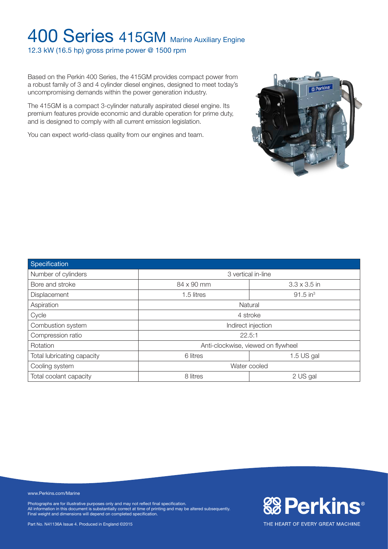12.3 kW (16.5 hp) gross prime power @ 1500 rpm

Based on the Perkin 400 Series, the 415GM provides compact power from a robust family of 3 and 4 cylinder diesel engines, designed to meet today's uncompromising demands within the power generation industry.

The 415GM is a compact 3-cylinder naturally aspirated diesel engine. Its premium features provide economic and durable operation for prime duty, and is designed to comply with all current emission legislation.

You can expect world-class quality from our engines and team.



**&BPerkins®** 

THE HEART OF EVERY GREAT MACHINE

| Specification              |                                      |          |  |  |
|----------------------------|--------------------------------------|----------|--|--|
| Number of cylinders        | 3 vertical in-line                   |          |  |  |
| Bore and stroke            | 84 x 90 mm<br>$3.3 \times 3.5$ in    |          |  |  |
| Displacement               | $91.5$ in <sup>3</sup><br>1.5 litres |          |  |  |
| Aspiration                 | Natural                              |          |  |  |
| Cycle                      | 4 stroke                             |          |  |  |
| Combustion system          | Indirect injection                   |          |  |  |
| Compression ratio          | 22.5:1                               |          |  |  |
| Rotation                   | Anti-clockwise, viewed on flywheel   |          |  |  |
| Total lubricating capacity | 6 litres<br>$1.5$ US gal             |          |  |  |
| Cooling system             | Water cooled                         |          |  |  |
| Total coolant capacity     | 8 litres                             | 2 US gal |  |  |

www.Perkins.com/Marine

Photographs are for illustrative purposes only and may not reflect final specification. All information in this document is substantially correct at time of printing and may be altered subsequently. Final weight and dimensions will depend on completed specification.

Part No. N41136A Issue 4. Produced in England ©2015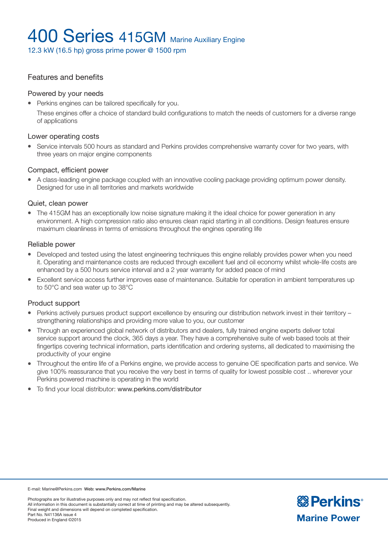12.3 kW (16.5 hp) gross prime power @ 1500 rpm

### Features and benefits

#### Powered by your needs

• Perkins engines can be tailored specifically for you.

These engines offer a choice of standard build configurations to match the needs of customers for a diverse range of applications

### Lower operating costs

<sup>l</sup> Service intervals 500 hours as standard and Perkins provides comprehensive warranty cover for two years, with three years on major engine components

### Compact, efficient power

• A class-leading engine package coupled with an innovative cooling package providing optimum power density. Designed for use in all territories and markets worldwide

### Quiet, clean power

• The 415GM has an exceptionally low noise signature making it the ideal choice for power generation in any environment. A high compression ratio also ensures clean rapid starting in all conditions. Design features ensure maximum cleanliness in terms of emissions throughout the engines operating life

#### Reliable power

- Developed and tested using the latest engineering techniques this engine reliably provides power when you need it. Operating and maintenance costs are reduced through excellent fuel and oil economy whilst whole-life costs are enhanced by a 500 hours service interval and a 2 year warranty for added peace of mind
- Excellent service access further improves ease of maintenance. Suitable for operation in ambient temperatures up to 50°C and sea water up to 38°C

#### Product support

- Perkins actively pursues product support excellence by ensuring our distribution network invest in their territory strengthening relationships and providing more value to you, our customer
- Through an experienced global network of distributors and dealers, fully trained engine experts deliver total service support around the clock, 365 days a year. They have a comprehensive suite of web based tools at their fingertips covering technical information, parts identification and ordering systems, all dedicated to maximising the productivity of your engine
- <sup>l</sup> Throughout the entire life of a Perkins engine, we provide access to genuine OE specification parts and service. We give 100% reassurance that you receive the very best in terms of quality for lowest possible cost .. wherever your Perkins powered machine is operating in the world
- To find your local distributor: www.perkins.com/distributor

E-mail: Marine@Perkins.com Web: www.Perkins.com/Marine

Photographs are for illustrative purposes only and may not reflect final specification. All information in this document is substantially correct at time of printing and may be altered subsequently. Final weight and dimensions will depend on completed specification. Part No. N41136A issue 4 Produced in England ©2015

**& Perkins Marine Power**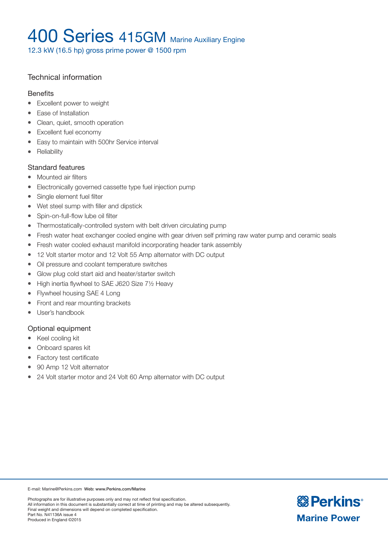12.3 kW (16.5 hp) gross prime power @ 1500 rpm

### Technical information

### **Benefits**

- Excellent power to weight
- Ease of Installation
- Clean, quiet, smooth operation
- Excellent fuel economy
- Easy to maintain with 500hr Service interval
- Reliability

### Standard features

- Mounted air filters
- Electronically governed cassette type fuel injection pump
- Single element fuel filter
- Wet steel sump with filler and dipstick
- Spin-on-full-flow lube oil filter
- Thermostatically-controlled system with belt driven circulating pump
- Fresh water heat exchanger cooled engine with gear driven self priming raw water pump and ceramic seals
- Fresh water cooled exhaust manifold incorporating header tank assembly
- 12 Volt starter motor and 12 Volt 55 Amp alternator with DC output
- Oil pressure and coolant temperature switches
- Glow plug cold start aid and heater/starter switch
- $\bullet$  High inertia flywheel to SAE J620 Size 71/2 Heavy
- Flywheel housing SAE 4 Long
- Front and rear mounting brackets
- User's handbook

### Optional equipment

- Keel cooling kit
- Onboard spares kit
- Factory test certificate
- 90 Amp 12 Volt alternator
- 24 Volt starter motor and 24 Volt 60 Amp alternator with DC output

E-mail: Marine@Perkins.com Web: www.Perkins.com/Marine

Photographs are for illustrative purposes only and may not reflect final specification. All information in this document is substantially correct at time of printing and may be altered subsequently. Final weight and dimensions will depend on completed specification. Part No. N41136A issue 4 Produced in England ©2015

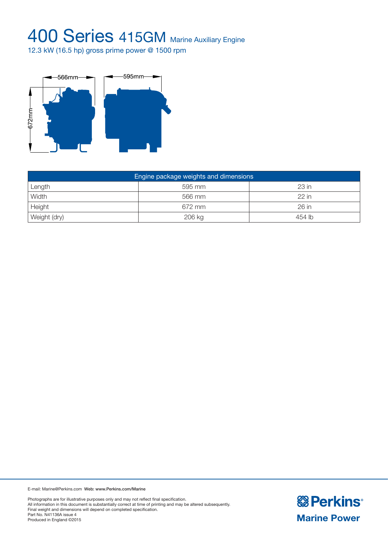12.3 kW (16.5 hp) gross prime power @ 1500 rpm



| Engine package weights and dimensions |        |         |  |  |  |
|---------------------------------------|--------|---------|--|--|--|
| Length                                | 595 mm | $23$ in |  |  |  |
| Width                                 | 566 mm | $22$ in |  |  |  |
| Height                                | 672 mm | 26 in   |  |  |  |
| Weight (dry)                          | 206 kg | 454 lb  |  |  |  |

E-mail: Marine@Perkins.com Web: www.Perkins.com/Marine

Photographs are for illustrative purposes only and may not reflect final specification. All information in this document is substantially correct at time of printing and may be altered subsequently. Final weight and dimensions will depend on completed specification. Part No. N41136A issue 4 Produced in England ©2015

**& Perkins Marine Power**